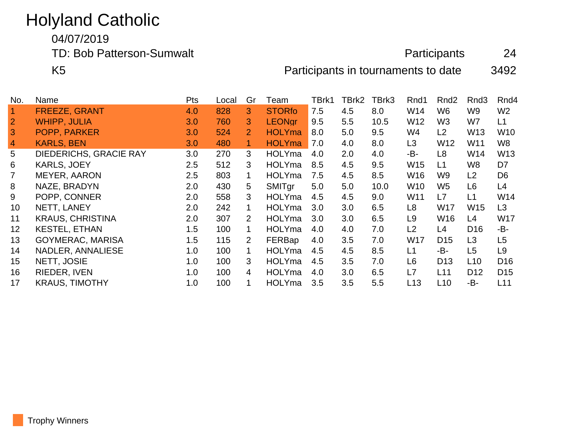## Holyland Catholic

04/07/2019

TD: Bob Patterson-Sumwalt **Participants** 24

K5 **Participants in tournaments to date** 3492

| No.            | Name                    | <b>Pts</b> | Local | Gr                        | Team          | TBrk1 | TBrk2 | TBrk3 | Rnd1            | Rnd <sub>2</sub> | Rnd <sub>3</sub> | Rnd <sub>4</sub> |
|----------------|-------------------------|------------|-------|---------------------------|---------------|-------|-------|-------|-----------------|------------------|------------------|------------------|
| $\mathbf 1$    | <b>FREEZE, GRANT</b>    | 4.0        | 828   | 3                         | <b>STORfo</b> | 7.5   | 4.5   | 8.0   | W14             | W <sub>6</sub>   | W9               | W <sub>2</sub>   |
| $\overline{2}$ | <b>WHIPP, JULIA</b>     | 3.0        | 760   | 3.                        | <b>LEONgr</b> | 9.5   | 5.5   | 10.5  | W <sub>12</sub> | W <sub>3</sub>   | W7               | L1               |
| 3              | POPP, PARKER            | 3.0        | 524   | $\overline{2}$            | <b>HOLYma</b> | 8.0   | 5.0   | 9.5   | W4              | L2               | W <sub>13</sub>  | W10              |
| $\overline{4}$ | <b>KARLS, BEN</b>       | 3.0        | 480   |                           | <b>HOLYma</b> | 7.0   | 4.0   | 8.0   | L <sub>3</sub>  | W <sub>12</sub>  | W11              | W8               |
| 5              | DIEDERICHS, GRACIE RAY  | 3.0        | 270   | 3                         | <b>HOLYma</b> | 4.0   | 2.0   | 4.0   | -B-             | L8               | W14              | W13              |
| 6              | <b>KARLS, JOEY</b>      | 2.5        | 512   | 3                         | <b>HOLYma</b> | 8.5   | 4.5   | 9.5   | W15             | L1               | W8               | D7               |
| 7              | MEYER, AARON            | 2.5        | 803   |                           | <b>HOLYma</b> | 7.5   | 4.5   | 8.5   | W16             | W <sub>9</sub>   | L2               | D <sub>6</sub>   |
| 8              | NAZE, BRADYN            | 2.0        | 430   | 5.                        | <b>SMITgr</b> | 5.0   | 5.0   | 10.0  | W10             | W <sub>5</sub>   | L <sub>6</sub>   | L4               |
| 9              | POPP, CONNER            | 2.0        | 558   | 3                         | <b>HOLYma</b> | 4.5   | 4.5   | 9.0   | W11             | L7               | L1               | W14              |
| 10             | NETT, LANEY             | 2.0        | 242   |                           | <b>HOLYma</b> | 3.0   | 3.0   | 6.5   | L8              | <b>W17</b>       | <b>W15</b>       | L <sub>3</sub>   |
| 11             | <b>KRAUS, CHRISTINA</b> | 2.0        | 307   | 2                         | <b>HOLYma</b> | 3.0   | 3.0   | 6.5   | L9              | <b>W16</b>       | L4               | <b>W17</b>       |
| 12             | <b>KESTEL, ETHAN</b>    | 1.5        | 100   |                           | <b>HOLYma</b> | 4.0   | 4.0   | 7.0   | L2              | L4               | D <sub>16</sub>  | -B-              |
| 13             | <b>GOYMERAC, MARISA</b> | 1.5        | 115   | $\mathbf{2}^{\mathsf{I}}$ | FERBap        | 4.0   | 3.5   | 7.0   | W17             | D <sub>15</sub>  | L <sub>3</sub>   | L5               |
| 14             | NADLER, ANNALIESE       | 1.0        | 100   | 1                         | <b>HOLYma</b> | 4.5   | 4.5   | 8.5   | L1              | -B-              | L <sub>5</sub>   | L9               |
| 15             | NETT, JOSIE             | 1.0        | 100   | 3                         | <b>HOLYma</b> | 4.5   | 3.5   | 7.0   | L <sub>6</sub>  | D <sub>13</sub>  | L <sub>10</sub>  | D <sub>16</sub>  |
| 16             | RIEDER, IVEN            | 1.0        | 100   | 4                         | <b>HOLYma</b> | 4.0   | 3.0   | 6.5   | L7              | L11              | D <sub>12</sub>  | D <sub>15</sub>  |
| 17             | <b>KRAUS, TIMOTHY</b>   | 1.0        | 100   |                           | <b>HOLYma</b> | 3.5   | 3.5   | 5.5   | L13             | L10              | -B-              | L11              |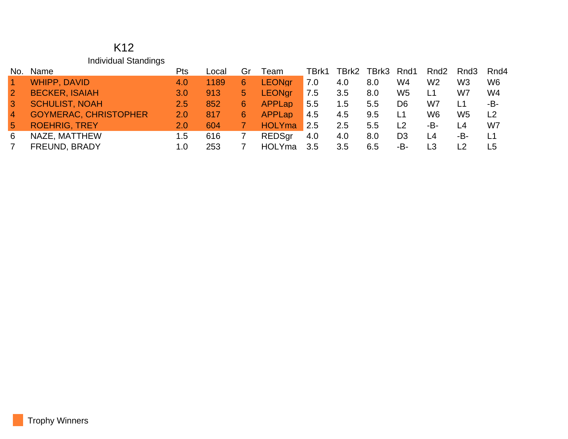## K12 Individual Standings

| No.             | Name                         | Pts           | Local | Gr | Team          | TBrk1 | TBrk2 | TBrk3 | Rnd1           | Rnd <sub>2</sub> | Rnd <sub>3</sub> | Rnd4           |
|-----------------|------------------------------|---------------|-------|----|---------------|-------|-------|-------|----------------|------------------|------------------|----------------|
| $\overline{1}$  | <b>WHIPP, DAVID</b>          | 4.0           | 1189  | 6  | <b>LEONgr</b> | 7.0   | 4.0   | 8.0   | W4             | W2               | W <sub>3</sub>   | W <sub>6</sub> |
| $\overline{2}$  | <b>BECKER, ISAIAH</b>        | 3.0           | 913   | 5  | <b>LEONgr</b> | 7.5   | 3.5   | 8.0   | W <sub>5</sub> | L1               | W7               | W4             |
| $\mathbf{3}$    | <b>SCHULIST, NOAH</b>        | $2.5^{\circ}$ | 852   | 6  | <b>APPLap</b> | 5.5   | 1.5   | 5.5   | D <sub>6</sub> | W7               |                  | -B-            |
| $\overline{4}$  | <b>GOYMERAC, CHRISTOPHER</b> | 2.0           | 817   | 6  | <b>APPLap</b> | 4.5   | 4.5   | 9.5   | L1             | W6               | W <sub>5</sub>   | L <sub>2</sub> |
| $5\overline{5}$ | <b>ROEHRIG, TREY</b>         | 2.0           | 604   |    | <b>HOLYma</b> | 2.5   | 2.5   | 5.5   | L <sub>2</sub> | -В-              | L4               | W7             |
| 6               | NAZE, MATTHEW                | 1.5           | 616   |    | <b>REDSgr</b> | 4.0   | 4.0   | 8.0   | D <sub>3</sub> | L <sub>4</sub>   | -B-              | L <sub>1</sub> |
|                 | FREUND, BRADY                | 1.0           | 253   |    | <b>HOLYma</b> | 3.5   | 3.5   | 6.5   | -B-            |                  |                  | L5             |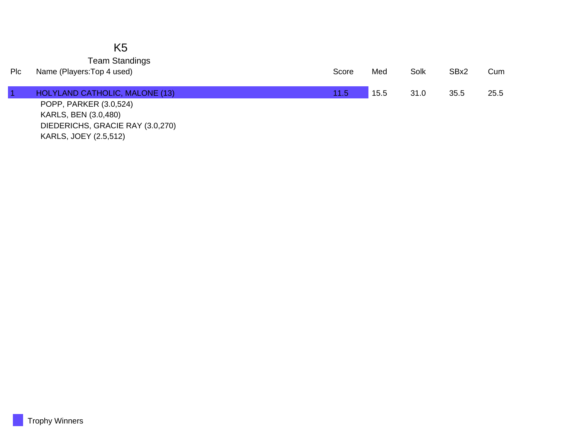## K5 Team Standings

| Plc | Name (Players: Top 4 used)       | Score | Med  | Solk | SBx2 | Cum  |
|-----|----------------------------------|-------|------|------|------|------|
|     | HOLYLAND CATHOLIC, MALONE (13)   | 11.5  | 15.5 | 31.0 | 35.5 | 25.5 |
|     | POPP, PARKER (3.0,524)           |       |      |      |      |      |
|     | KARLS, BEN (3.0,480)             |       |      |      |      |      |
|     | DIEDERICHS, GRACIE RAY (3.0,270) |       |      |      |      |      |

KARLS, JOEY (2.5,512)